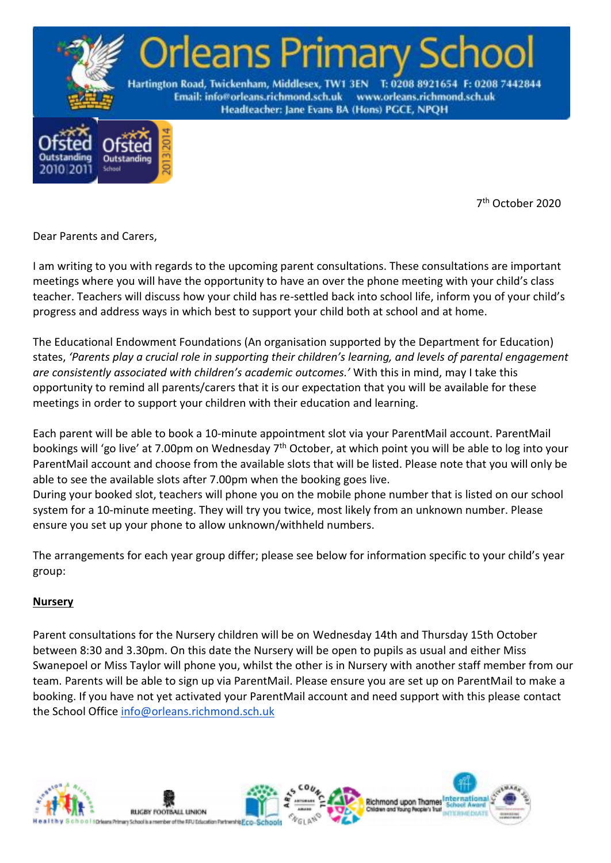

7 th October 2020

Dear Parents and Carers,

2010 201

I am writing to you with regards to the upcoming parent consultations. These consultations are important meetings where you will have the opportunity to have an over the phone meeting with your child's class teacher. Teachers will discuss how your child has re-settled back into school life, inform you of your child's progress and address ways in which best to support your child both at school and at home.

The Educational Endowment Foundations (An organisation supported by the Department for Education) states, *'Parents play a crucial role in supporting their children's learning, and levels of parental engagement are consistently associated with children's academic outcomes.'* With this in mind, may I take this opportunity to remind all parents/carers that it is our expectation that you will be available for these meetings in order to support your children with their education and learning*.*

Each parent will be able to book a 10-minute appointment slot via your ParentMail account. ParentMail bookings will 'go live' at 7.00pm on Wednesday 7<sup>th</sup> October, at which point you will be able to log into your ParentMail account and choose from the available slots that will be listed. Please note that you will only be able to see the available slots after 7.00pm when the booking goes live.

During your booked slot, teachers will phone you on the mobile phone number that is listed on our school system for a 10-minute meeting. They will try you twice, most likely from an unknown number. Please ensure you set up your phone to allow unknown/withheld numbers.

The arrangements for each year group differ; please see below for information specific to your child's year group:

#### **Nursery**

Parent consultations for the Nursery children will be on Wednesday 14th and Thursday 15th October between 8:30 and 3.30pm. On this date the Nursery will be open to pupils as usual and either Miss Swanepoel or Miss Taylor will phone you, whilst the other is in Nursery with another staff member from our team. Parents will be able to sign up via ParentMail. Please ensure you are set up on ParentMail to make a booking. If you have not yet activated your ParentMail account and need support with this please contact the School Office [info@orleans.richmond.sch.uk](mailto:info@orleans.richmond.sch.uk)

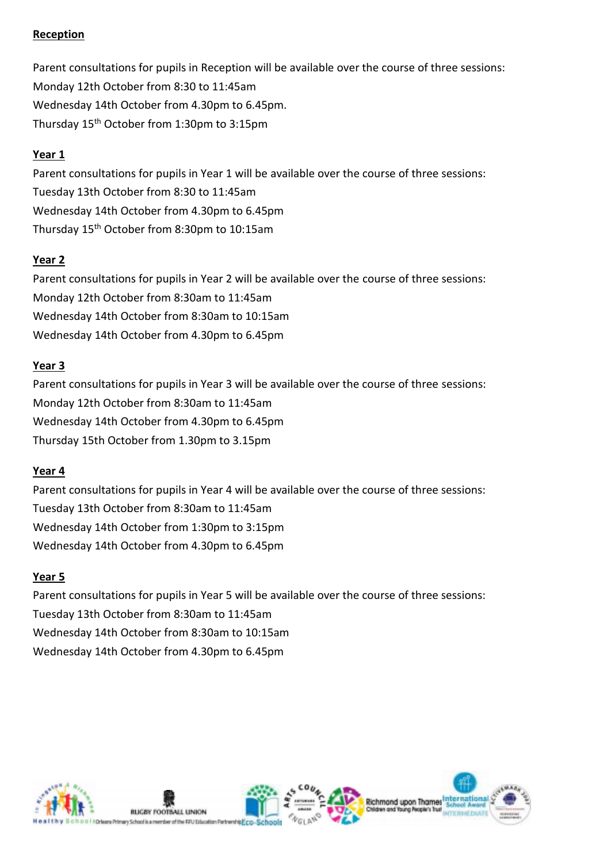## **Reception**

Parent consultations for pupils in Reception will be available over the course of three sessions: Monday 12th October from 8:30 to 11:45am Wednesday 14th October from 4.30pm to 6.45pm. Thursday 15th October from 1:30pm to 3:15pm

## **Year 1**

Parent consultations for pupils in Year 1 will be available over the course of three sessions: Tuesday 13th October from 8:30 to 11:45am Wednesday 14th October from 4.30pm to 6.45pm Thursday 15th October from 8:30pm to 10:15am

### **Year 2**

Parent consultations for pupils in Year 2 will be available over the course of three sessions: Monday 12th October from 8:30am to 11:45am Wednesday 14th October from 8:30am to 10:15am Wednesday 14th October from 4.30pm to 6.45pm

### **Year 3**

Parent consultations for pupils in Year 3 will be available over the course of three sessions: Monday 12th October from 8:30am to 11:45am Wednesday 14th October from 4.30pm to 6.45pm Thursday 15th October from 1.30pm to 3.15pm

#### **Year 4**

Parent consultations for pupils in Year 4 will be available over the course of three sessions: Tuesday 13th October from 8:30am to 11:45am Wednesday 14th October from 1:30pm to 3:15pm Wednesday 14th October from 4.30pm to 6.45pm

# **Year 5**

Parent consultations for pupils in Year 5 will be available over the course of three sessions: Tuesday 13th October from 8:30am to 11:45am Wednesday 14th October from 8:30am to 10:15am Wednesday 14th October from 4.30pm to 6.45pm